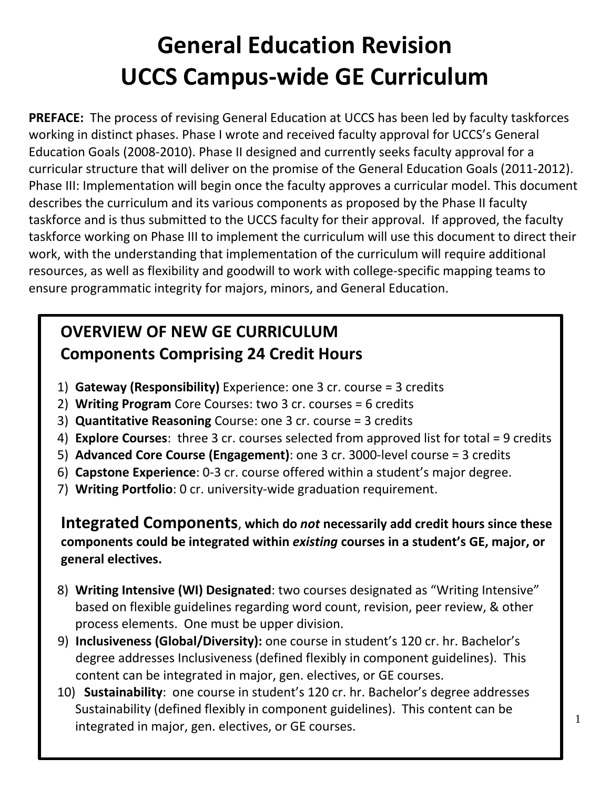# **General Education Revision UCCS Campus-wide GE Curriculum**

**PREFACE:** The process of revising General Education at UCCS has been led by faculty taskforces working in distinct phases. Phase I wrote and received faculty approval for UCCS's General Education Goals (2008-2010). Phase II designed and currently seeks faculty approval for a curricular structure that will deliver on the promise of the General Education Goals (2011-2012). Phase III: Implementation will begin once the faculty approves a curricular model. This document describes the curriculum and its various components as proposed by the Phase II faculty taskforce and is thus submitted to the UCCS faculty for their approval. If approved, the faculty taskforce working on Phase III to implement the curriculum will use this document to direct their work, with the understanding that implementation of the curriculum will require additional resources, as well as flexibility and goodwill to work with college-specific mapping teams to ensure programmatic integrity for majors, minors, and General Education.

## **OVERVIEW OF NEW GE CURRICULUM Components Comprising 24 Credit Hours**

- 1) **Gateway (Responsibility)** Experience: one 3 cr. course = 3 credits
- 2) **Writing Program** Core Courses: two 3 cr. courses = 6 credits
- 3) **Quantitative Reasoning** Course: one 3 cr. course = 3 credits
- 4) **Explore Courses**: three 3 cr. courses selected from approved list for total = 9 credits
- 5) **Advanced Core Course (Engagement)**: one 3 cr. 3000-level course = 3 credits
- 6) **Capstone Experience**: 0-3 cr. course offered within a student's major degree.
- 7) **Writing Portfolio**: 0 cr. university-wide graduation requirement.

**Integrated Components**, **which do** *not* **necessarily add credit hours since these components could be integrated within** *existing* **courses in a student's GE, major, or general electives.**

- 8) **Writing Intensive (WI) Designated**: two courses designated as "Writing Intensive" based on flexible guidelines regarding word count, revision, peer review, & other process elements. One must be upper division.
- 9) **Inclusiveness (Global/Diversity):** one course in student's 120 cr. hr. Bachelor's degree addresses Inclusiveness (defined flexibly in component guidelines). This content can be integrated in major, gen. electives, or GE courses.
- 10) **Sustainability**: one course in student's 120 cr. hr. Bachelor's degree addresses Sustainability (defined flexibly in component guidelines). This content can be integrated in major, gen. electives, or GE courses.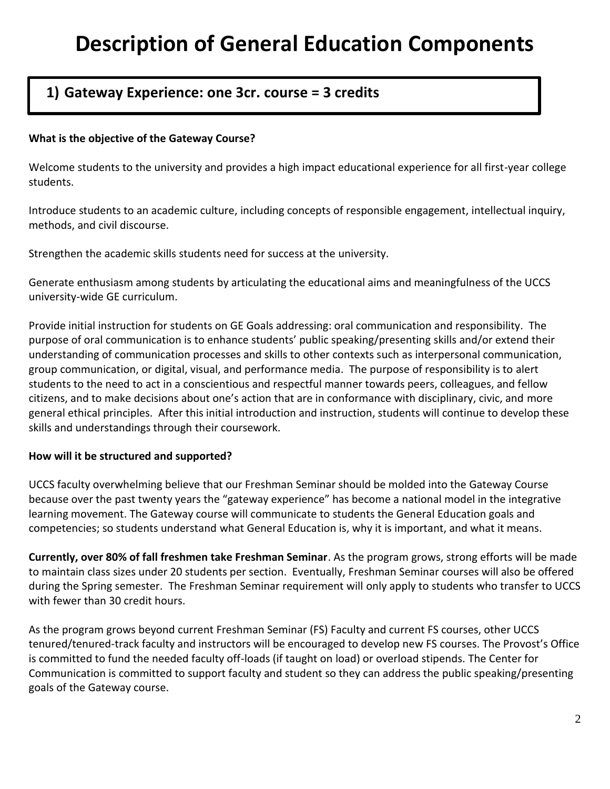## **Description of General Education Components**

## **1) Gateway Experience: one 3cr. course = 3 credits**

#### **What is the objective of the Gateway Course?**

Welcome students to the university and provides a high impact educational experience for all first-year college students.

Introduce students to an academic culture, including concepts of responsible engagement, intellectual inquiry, methods, and civil discourse.

Strengthen the academic skills students need for success at the university.

Generate enthusiasm among students by articulating the educational aims and meaningfulness of the UCCS university-wide GE curriculum.

Provide initial instruction for students on GE Goals addressing: oral communication and responsibility. The purpose of oral communication is to enhance students' public speaking/presenting skills and/or extend their understanding of communication processes and skills to other contexts such as interpersonal communication, group communication, or digital, visual, and performance media. The purpose of responsibility is to alert students to the need to act in a conscientious and respectful manner towards peers, colleagues, and fellow citizens, and to make decisions about one's action that are in conformance with disciplinary, civic, and more general ethical principles. After this initial introduction and instruction, students will continue to develop these skills and understandings through their coursework.

#### **How will it be structured and supported?**

UCCS faculty overwhelming believe that our Freshman Seminar should be molded into the Gateway Course because over the past twenty years the "gateway experience" has become a national model in the integrative learning movement. The Gateway course will communicate to students the General Education goals and competencies; so students understand what General Education is, why it is important, and what it means.

**Currently, over 80% of fall freshmen take Freshman Seminar**. As the program grows, strong efforts will be made to maintain class sizes under 20 students per section. Eventually, Freshman Seminar courses will also be offered during the Spring semester. The Freshman Seminar requirement will only apply to students who transfer to UCCS with fewer than 30 credit hours.

As the program grows beyond current Freshman Seminar (FS) Faculty and current FS courses, other UCCS tenured/tenured-track faculty and instructors will be encouraged to develop new FS courses. The Provost's Office is committed to fund the needed faculty off-loads (if taught on load) or overload stipends. The Center for Communication is committed to support faculty and student so they can address the public speaking/presenting goals of the Gateway course.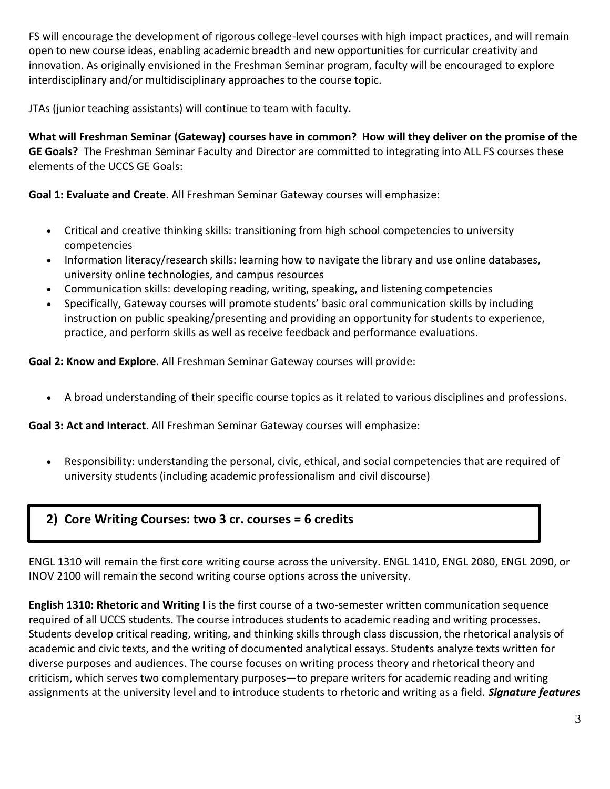FS will encourage the development of rigorous college-level courses with high impact practices, and will remain open to new course ideas, enabling academic breadth and new opportunities for curricular creativity and innovation. As originally envisioned in the Freshman Seminar program, faculty will be encouraged to explore interdisciplinary and/or multidisciplinary approaches to the course topic.

JTAs (junior teaching assistants) will continue to team with faculty.

**What will Freshman Seminar (Gateway) courses have in common? How will they deliver on the promise of the GE Goals?** The Freshman Seminar Faculty and Director are committed to integrating into ALL FS courses these elements of the UCCS GE Goals:

**Goal 1: Evaluate and Create**. All Freshman Seminar Gateway courses will emphasize:

- Critical and creative thinking skills: transitioning from high school competencies to university competencies
- Information literacy/research skills: learning how to navigate the library and use online databases, university online technologies, and campus resources
- Communication skills: developing reading, writing, speaking, and listening competencies
- Specifically, Gateway courses will promote students' basic oral communication skills by including instruction on public speaking/presenting and providing an opportunity for students to experience, practice, and perform skills as well as receive feedback and performance evaluations.

**Goal 2: Know and Explore**. All Freshman Seminar Gateway courses will provide:

A broad understanding of their specific course topics as it related to various disciplines and professions.

**Goal 3: Act and Interact**. All Freshman Seminar Gateway courses will emphasize:

 Responsibility: understanding the personal, civic, ethical, and social competencies that are required of university students (including academic professionalism and civil discourse)

## **2) Core Writing Courses: two 3 cr. courses = 6 credits**

ENGL 1310 will remain the first core writing course across the university. ENGL 1410, ENGL 2080, ENGL 2090, or INOV 2100 will remain the second writing course options across the university.

**English 1310: Rhetoric and Writing I** is the first course of a two-semester written communication sequence required of all UCCS students. The course introduces students to academic reading and writing processes. Students develop critical reading, writing, and thinking skills through class discussion, the rhetorical analysis of academic and civic texts, and the writing of documented analytical essays. Students analyze texts written for diverse purposes and audiences. The course focuses on writing process theory and rhetorical theory and criticism, which serves two complementary purposes—to prepare writers for academic reading and writing assignments at the university level and to introduce students to rhetoric and writing as a field. *Signature features*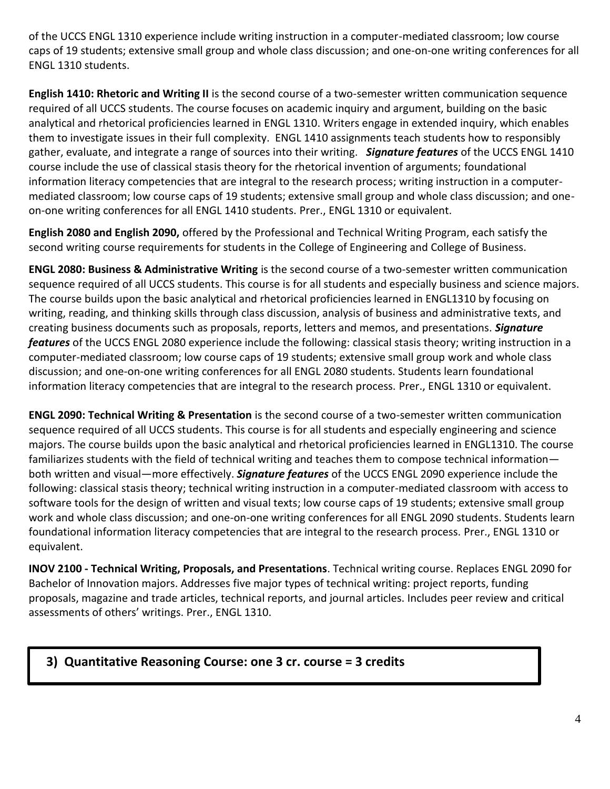of the UCCS ENGL 1310 experience include writing instruction in a computer-mediated classroom; low course caps of 19 students; extensive small group and whole class discussion; and one-on-one writing conferences for all ENGL 1310 students.

**English 1410: Rhetoric and Writing II** is the second course of a two-semester written communication sequence required of all UCCS students. The course focuses on academic inquiry and argument, building on the basic analytical and rhetorical proficiencies learned in ENGL 1310. Writers engage in extended inquiry, which enables them to investigate issues in their full complexity. ENGL 1410 assignments teach students how to responsibly gather, evaluate, and integrate a range of sources into their writing. *Signature features* of the UCCS ENGL 1410 course include the use of classical stasis theory for the rhetorical invention of arguments; foundational information literacy competencies that are integral to the research process; writing instruction in a computermediated classroom; low course caps of 19 students; extensive small group and whole class discussion; and oneon-one writing conferences for all ENGL 1410 students. Prer., ENGL 1310 or equivalent.

**English 2080 and English 2090,** offered by the Professional and Technical Writing Program, each satisfy the second writing course requirements for students in the College of Engineering and College of Business.

**ENGL 2080: Business & Administrative Writing** is the second course of a two-semester written communication sequence required of all UCCS students. This course is for all students and especially business and science majors. The course builds upon the basic analytical and rhetorical proficiencies learned in ENGL1310 by focusing on writing, reading, and thinking skills through class discussion, analysis of business and administrative texts, and creating business documents such as proposals, reports, letters and memos, and presentations. *Signature features* of the UCCS ENGL 2080 experience include the following: classical stasis theory; writing instruction in a computer-mediated classroom; low course caps of 19 students; extensive small group work and whole class discussion; and one-on-one writing conferences for all ENGL 2080 students. Students learn foundational information literacy competencies that are integral to the research process. Prer., ENGL 1310 or equivalent.

**ENGL 2090: Technical Writing & Presentation** is the second course of a two-semester written communication sequence required of all UCCS students. This course is for all students and especially engineering and science majors. The course builds upon the basic analytical and rhetorical proficiencies learned in ENGL1310. The course familiarizes students with the field of technical writing and teaches them to compose technical information both written and visual—more effectively. *Signature features* of the UCCS ENGL 2090 experience include the following: classical stasis theory; technical writing instruction in a computer-mediated classroom with access to software tools for the design of written and visual texts; low course caps of 19 students; extensive small group work and whole class discussion; and one-on-one writing conferences for all ENGL 2090 students. Students learn foundational information literacy competencies that are integral to the research process. Prer., ENGL 1310 or equivalent.

**INOV 2100 - Technical Writing, Proposals, and Presentations**. Technical writing course. Replaces ENGL 2090 for Bachelor of Innovation majors. Addresses five major types of technical writing: project reports, funding proposals, magazine and trade articles, technical reports, and journal articles. Includes peer review and critical assessments of others' writings. Prer., ENGL 1310.

## **3) Quantitative Reasoning Course: one 3 cr. course = 3 credits**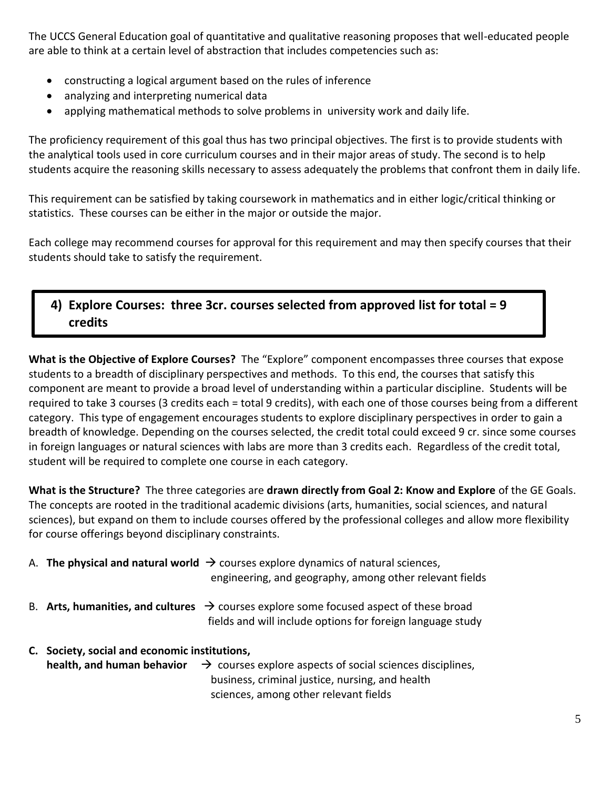The UCCS General Education goal of quantitative and qualitative reasoning proposes that well-educated people are able to think at a certain level of abstraction that includes competencies such as:

- constructing a logical argument based on the rules of inference
- analyzing and interpreting numerical data
- applying mathematical methods to solve problems in university work and daily life.

The proficiency requirement of this goal thus has two principal objectives. The first is to provide students with the analytical tools used in core curriculum courses and in their major areas of study. The second is to help students acquire the reasoning skills necessary to assess adequately the problems that confront them in daily life.

This requirement can be satisfied by taking coursework in mathematics and in either logic/critical thinking or statistics. These courses can be either in the major or outside the major.

Each college may recommend courses for approval for this requirement and may then specify courses that their students should take to satisfy the requirement.

## **4) Explore Courses: three 3cr. courses selected from approved list for total = 9 credits**

**What is the Objective of Explore Courses?** The "Explore" component encompasses three courses that expose students to a breadth of disciplinary perspectives and methods. To this end, the courses that satisfy this component are meant to provide a broad level of understanding within a particular discipline. Students will be required to take 3 courses (3 credits each = total 9 credits), with each one of those courses being from a different category. This type of engagement encourages students to explore disciplinary perspectives in order to gain a breadth of knowledge. Depending on the courses selected, the credit total could exceed 9 cr. since some courses in foreign languages or natural sciences with labs are more than 3 credits each. Regardless of the credit total, student will be required to complete one course in each category.

**What is the Structure?** The three categories are **drawn directly from Goal 2: Know and Explore** of the GE Goals. The concepts are rooted in the traditional academic divisions (arts, humanities, social sciences, and natural sciences), but expand on them to include courses offered by the professional colleges and allow more flexibility for course offerings beyond disciplinary constraints.

|    |                                            | A. The physical and natural world $\rightarrow$ courses explore dynamics of natural sciences,<br>engineering, and geography, among other relevant fields                                            |
|----|--------------------------------------------|-----------------------------------------------------------------------------------------------------------------------------------------------------------------------------------------------------|
| B. |                                            | Arts, humanities, and cultures $\rightarrow$ courses explore some focused aspect of these broad<br>fields and will include options for foreign language study                                       |
| C. | Society, social and economic institutions, | <b>health, and human behavior</b> $\rightarrow$ courses explore aspects of social sciences disciplines,<br>business, criminal justice, nursing, and health<br>sciences, among other relevant fields |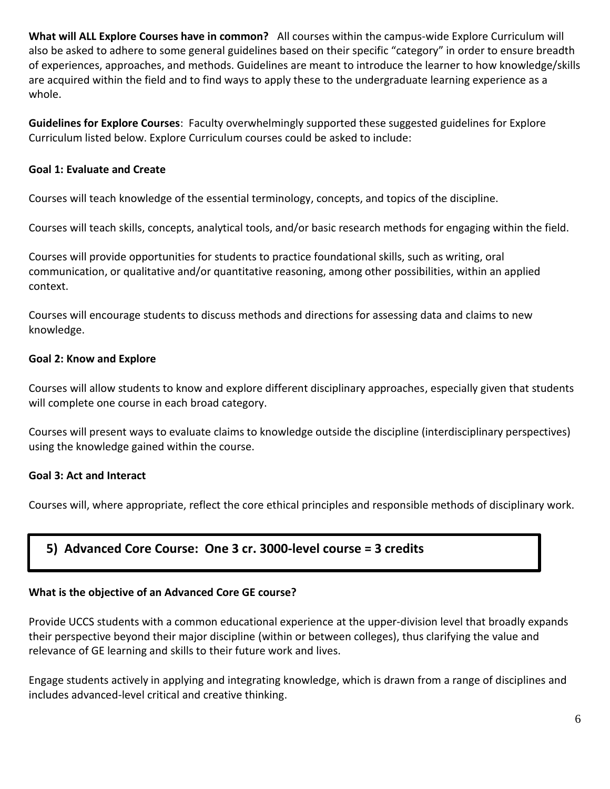**What will ALL Explore Courses have in common?** All courses within the campus-wide Explore Curriculum will also be asked to adhere to some general guidelines based on their specific "category" in order to ensure breadth of experiences, approaches, and methods. Guidelines are meant to introduce the learner to how knowledge/skills are acquired within the field and to find ways to apply these to the undergraduate learning experience as a whole.

**Guidelines for Explore Courses**: Faculty overwhelmingly supported these suggested guidelines for Explore Curriculum listed below. Explore Curriculum courses could be asked to include:

#### **Goal 1: Evaluate and Create**

Courses will teach knowledge of the essential terminology, concepts, and topics of the discipline.

Courses will teach skills, concepts, analytical tools, and/or basic research methods for engaging within the field.

Courses will provide opportunities for students to practice foundational skills, such as writing, oral communication, or qualitative and/or quantitative reasoning, among other possibilities, within an applied context.

Courses will encourage students to discuss methods and directions for assessing data and claims to new knowledge.

#### **Goal 2: Know and Explore**

Courses will allow students to know and explore different disciplinary approaches, especially given that students will complete one course in each broad category.

Courses will present ways to evaluate claims to knowledge outside the discipline (interdisciplinary perspectives) using the knowledge gained within the course.

#### **Goal 3: Act and Interact**

Courses will, where appropriate, reflect the core ethical principles and responsible methods of disciplinary work.

## **5) Advanced Core Course: One 3 cr. 3000-level course = 3 credits**

## **What is the objective of an Advanced Core GE course?**

Provide UCCS students with a common educational experience at the upper-division level that broadly expands their perspective beyond their major discipline (within or between colleges), thus clarifying the value and relevance of GE learning and skills to their future work and lives.

Engage students actively in applying and integrating knowledge, which is drawn from a range of disciplines and includes advanced-level critical and creative thinking.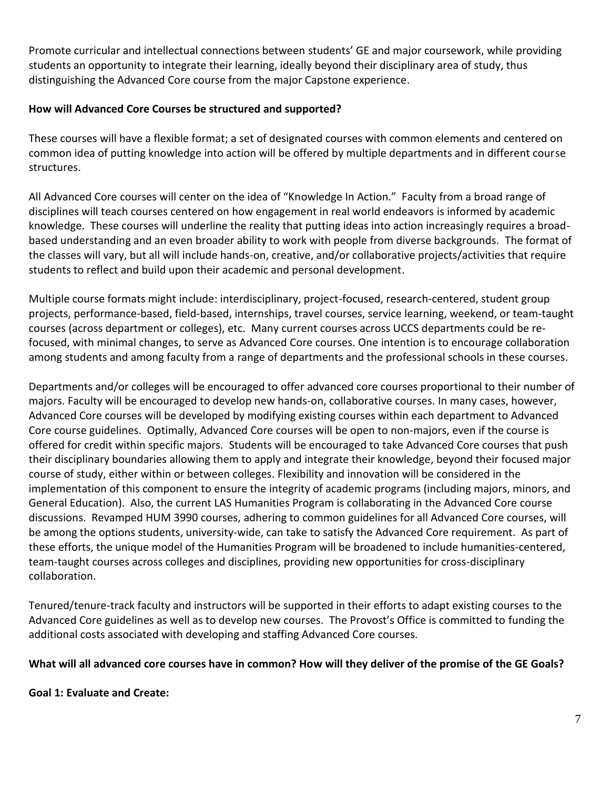Promote curricular and intellectual connections between students' GE and major coursework, while providing students an opportunity to integrate their learning, ideally beyond their disciplinary area of study, thus distinguishing the Advanced Core course from the major Capstone experience.

#### **How will Advanced Core Courses be structured and supported?**

These courses will have a flexible format; a set of designated courses with common elements and centered on common idea of putting knowledge into action will be offered by multiple departments and in different course structures.

All Advanced Core courses will center on the idea of "Knowledge In Action." Faculty from a broad range of disciplines will teach courses centered on how engagement in real world endeavors is informed by academic knowledge. These courses will underline the reality that putting ideas into action increasingly requires a broadbased understanding and an even broader ability to work with people from diverse backgrounds. The format of the classes will vary, but all will include hands-on, creative, and/or collaborative projects/activities that require students to reflect and build upon their academic and personal development.

Multiple course formats might include: interdisciplinary, project-focused, research-centered, student group projects, performance-based, field-based, internships, travel courses, service learning, weekend, or team-taught courses (across department or colleges), etc. Many current courses across UCCS departments could be refocused, with minimal changes, to serve as Advanced Core courses. One intention is to encourage collaboration among students and among faculty from a range of departments and the professional schools in these courses.

Departments and/or colleges will be encouraged to offer advanced core courses proportional to their number of majors. Faculty will be encouraged to develop new hands-on, collaborative courses. In many cases, however, Advanced Core courses will be developed by modifying existing courses within each department to Advanced Core course guidelines. Optimally, Advanced Core courses will be open to non-majors, even if the course is offered for credit within specific majors. Students will be encouraged to take Advanced Core courses that push their disciplinary boundaries allowing them to apply and integrate their knowledge, beyond their focused major course of study, either within or between colleges. Flexibility and innovation will be considered in the implementation of this component to ensure the integrity of academic programs (including majors, minors, and General Education). Also, the current LAS Humanities Program is collaborating in the Advanced Core course discussions. Revamped HUM 3990 courses, adhering to common guidelines for all Advanced Core courses, will be among the options students, university-wide, can take to satisfy the Advanced Core requirement. As part of these efforts, the unique model of the Humanities Program will be broadened to include humanities-centered, team-taught courses across colleges and disciplines, providing new opportunities for cross-disciplinary collaboration.

Tenured/tenure-track faculty and instructors will be supported in their efforts to adapt existing courses to the Advanced Core guidelines as well as to develop new courses. The Provost's Office is committed to funding the additional costs associated with developing and staffing Advanced Core courses.

#### **What will all advanced core courses have in common? How will they deliver of the promise of the GE Goals?**

**Goal 1: Evaluate and Create:**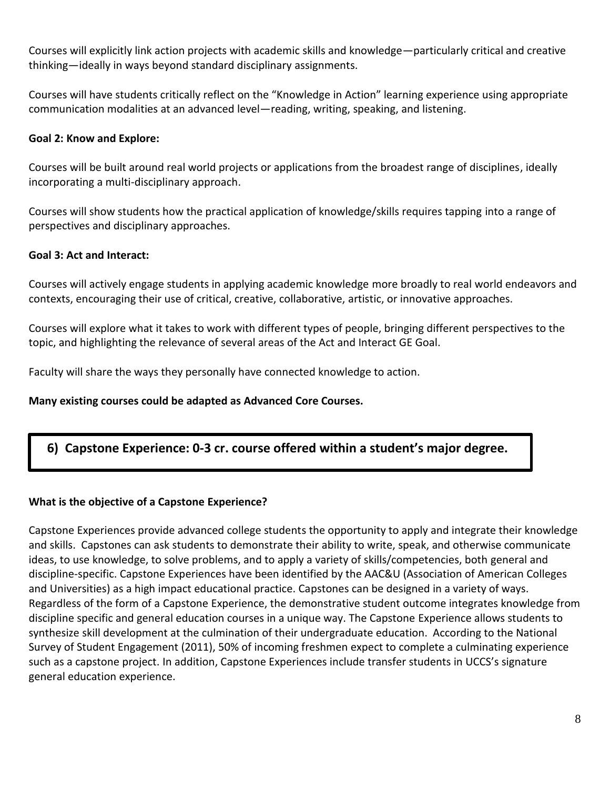Courses will explicitly link action projects with academic skills and knowledge—particularly critical and creative thinking—ideally in ways beyond standard disciplinary assignments.

Courses will have students critically reflect on the "Knowledge in Action" learning experience using appropriate communication modalities at an advanced level—reading, writing, speaking, and listening.

#### **Goal 2: Know and Explore:**

Courses will be built around real world projects or applications from the broadest range of disciplines, ideally incorporating a multi-disciplinary approach.

Courses will show students how the practical application of knowledge/skills requires tapping into a range of perspectives and disciplinary approaches.

#### **Goal 3: Act and Interact:**

Courses will actively engage students in applying academic knowledge more broadly to real world endeavors and contexts, encouraging their use of critical, creative, collaborative, artistic, or innovative approaches.

Courses will explore what it takes to work with different types of people, bringing different perspectives to the topic, and highlighting the relevance of several areas of the Act and Interact GE Goal.

Faculty will share the ways they personally have connected knowledge to action.

#### **Many existing courses could be adapted as Advanced Core Courses.**

## **6) Capstone Experience: 0-3 cr. course offered within a student's major degree.**

#### **What is the objective of a Capstone Experience?**

Capstone Experiences provide advanced college students the opportunity to apply and integrate their knowledge and skills. Capstones can ask students to demonstrate their ability to write, speak, and otherwise communicate ideas, to use knowledge, to solve problems, and to apply a variety of skills/competencies, both general and discipline-specific. Capstone Experiences have been identified by the AAC&U (Association of American Colleges and Universities) as a high impact educational practice. Capstones can be designed in a variety of ways. Regardless of the form of a Capstone Experience, the demonstrative student outcome integrates knowledge from discipline specific and general education courses in a unique way. The Capstone Experience allows students to synthesize skill development at the culmination of their undergraduate education. According to the National Survey of Student Engagement (2011), 50% of incoming freshmen expect to complete a culminating experience such as a capstone project. In addition, Capstone Experiences include transfer students in UCCS's signature general education experience.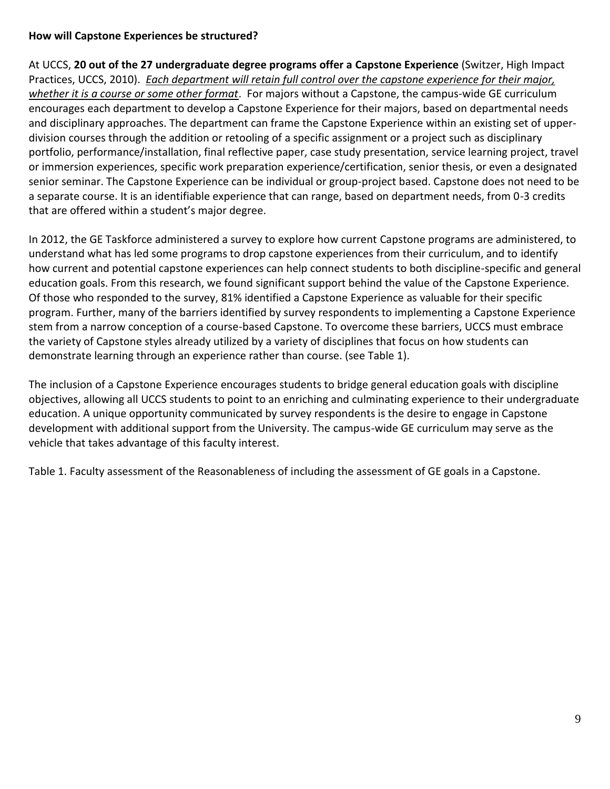#### **How will Capstone Experiences be structured?**

At UCCS, **20 out of the 27 undergraduate degree programs offer a Capstone Experience** (Switzer, High Impact Practices, UCCS, 2010). *Each department will retain full control over the capstone experience for their major, whether it is a course or some other format*. For majors without a Capstone, the campus-wide GE curriculum encourages each department to develop a Capstone Experience for their majors, based on departmental needs and disciplinary approaches. The department can frame the Capstone Experience within an existing set of upperdivision courses through the addition or retooling of a specific assignment or a project such as disciplinary portfolio, performance/installation, final reflective paper, case study presentation, service learning project, travel or immersion experiences, specific work preparation experience/certification, senior thesis, or even a designated senior seminar. The Capstone Experience can be individual or group-project based. Capstone does not need to be a separate course. It is an identifiable experience that can range, based on department needs, from 0-3 credits that are offered within a student's major degree.

In 2012, the GE Taskforce administered a survey to explore how current Capstone programs are administered, to understand what has led some programs to drop capstone experiences from their curriculum, and to identify how current and potential capstone experiences can help connect students to both discipline-specific and general education goals. From this research, we found significant support behind the value of the Capstone Experience. Of those who responded to the survey, 81% identified a Capstone Experience as valuable for their specific program. Further, many of the barriers identified by survey respondents to implementing a Capstone Experience stem from a narrow conception of a course-based Capstone. To overcome these barriers, UCCS must embrace the variety of Capstone styles already utilized by a variety of disciplines that focus on how students can demonstrate learning through an experience rather than course. (see Table 1).

The inclusion of a Capstone Experience encourages students to bridge general education goals with discipline objectives, allowing all UCCS students to point to an enriching and culminating experience to their undergraduate education. A unique opportunity communicated by survey respondents is the desire to engage in Capstone development with additional support from the University. The campus-wide GE curriculum may serve as the vehicle that takes advantage of this faculty interest.

Table 1. Faculty assessment of the Reasonableness of including the assessment of GE goals in a Capstone.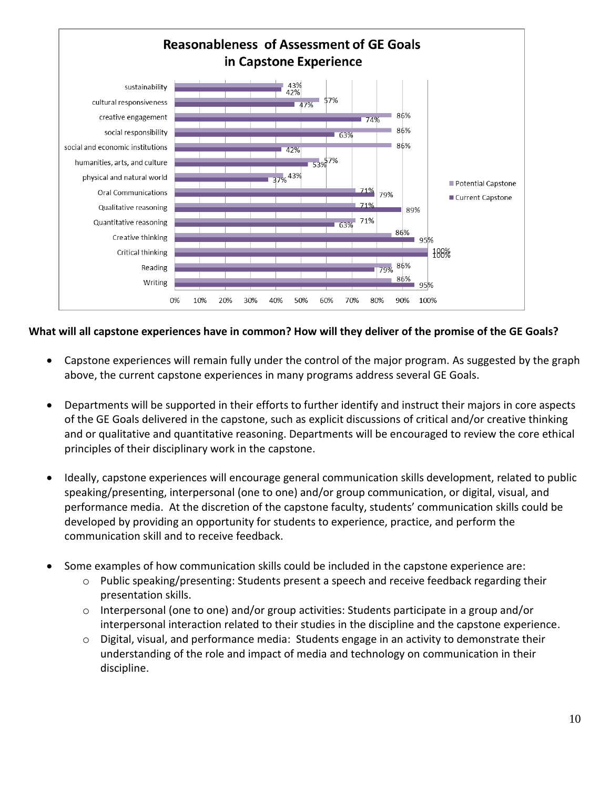

#### **What will all capstone experiences have in common? How will they deliver of the promise of the GE Goals?**

- Capstone experiences will remain fully under the control of the major program. As suggested by the graph above, the current capstone experiences in many programs address several GE Goals.
- Departments will be supported in their efforts to further identify and instruct their majors in core aspects of the GE Goals delivered in the capstone, such as explicit discussions of critical and/or creative thinking and or qualitative and quantitative reasoning. Departments will be encouraged to review the core ethical principles of their disciplinary work in the capstone.
- Ideally, capstone experiences will encourage general communication skills development, related to public speaking/presenting, interpersonal (one to one) and/or group communication, or digital, visual, and performance media. At the discretion of the capstone faculty, students' communication skills could be developed by providing an opportunity for students to experience, practice, and perform the communication skill and to receive feedback.
- Some examples of how communication skills could be included in the capstone experience are:
	- o Public speaking/presenting: Students present a speech and receive feedback regarding their presentation skills.
	- o Interpersonal (one to one) and/or group activities: Students participate in a group and/or interpersonal interaction related to their studies in the discipline and the capstone experience.
	- o Digital, visual, and performance media: Students engage in an activity to demonstrate their understanding of the role and impact of media and technology on communication in their discipline.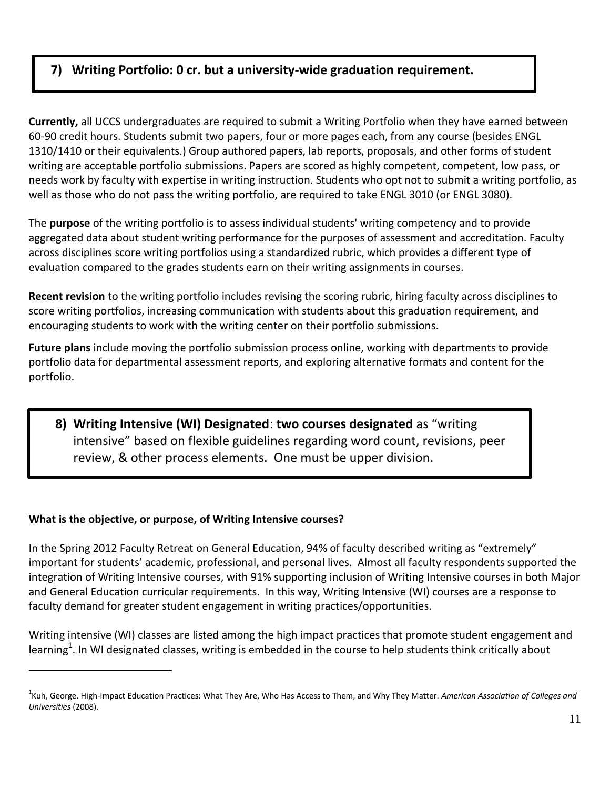## **7) Writing Portfolio: 0 cr. but a university-wide graduation requirement.**

**Currently,** all UCCS undergraduates are required to submit a Writing Portfolio when they have earned between 60-90 credit hours. Students submit two papers, four or more pages each, from any course (besides ENGL 1310/1410 or their equivalents.) Group authored papers, lab reports, proposals, and other forms of student writing are acceptable portfolio submissions. Papers are scored as highly competent, competent, low pass, or needs work by faculty with expertise in writing instruction. Students who opt not to submit a writing portfolio, as well as those who do not pass the writing portfolio, are required to take ENGL 3010 (or ENGL 3080).

The **purpose** of the writing portfolio is to assess individual students' writing competency and to provide aggregated data about student writing performance for the purposes of assessment and accreditation. Faculty across disciplines score writing portfolios using a standardized rubric, which provides a different type of evaluation compared to the grades students earn on their writing assignments in courses.

**Recent revision** to the writing portfolio includes revising the scoring rubric, hiring faculty across disciplines to score writing portfolios, increasing communication with students about this graduation requirement, and encouraging students to work with the writing center on their portfolio submissions.

**Future plans** include moving the portfolio submission process online, working with departments to provide portfolio data for departmental assessment reports, and exploring alternative formats and content for the portfolio.

## **8) Writing Intensive (WI) Designated**: **two courses designated** as "writing intensive" based on flexible guidelines regarding word count, revisions, peer review, & other process elements. One must be upper division.

#### **What is the objective, or purpose, of Writing Intensive courses?**

 $\overline{a}$ 

In the Spring 2012 Faculty Retreat on General Education, 94% of faculty described writing as "extremely" important for students' academic, professional, and personal lives. Almost all faculty respondents supported the integration of Writing Intensive courses, with 91% supporting inclusion of Writing Intensive courses in both Major and General Education curricular requirements. In this way, Writing Intensive (WI) courses are a response to faculty demand for greater student engagement in writing practices/opportunities.

Writing intensive (WI) classes are listed among the high impact practices that promote student engagement and learning<sup>1</sup>. In WI designated classes, writing is embedded in the course to help students think critically about

<sup>1</sup> Kuh, George. High-Impact Education Practices: What They Are, Who Has Access to Them, and Why They Matter. *American Association of Colleges and Universities* (2008).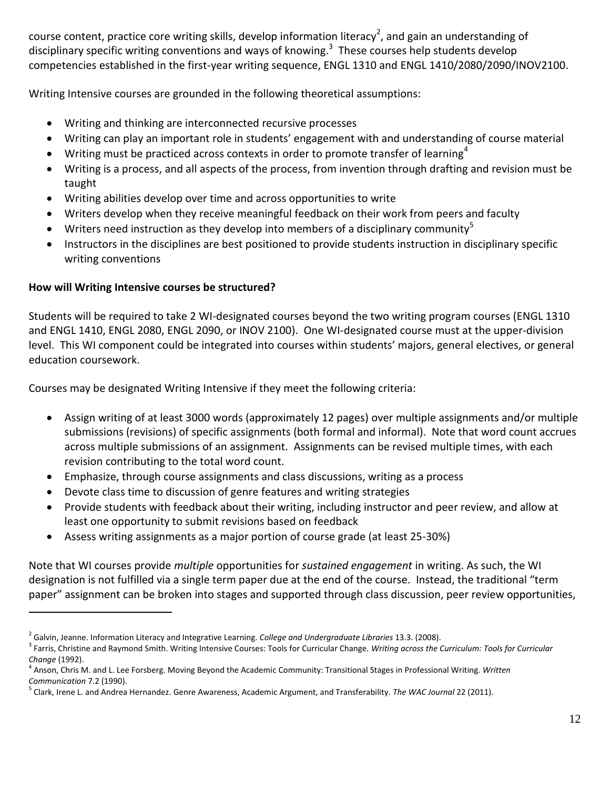course content, practice core writing skills, develop information literacy<sup>2</sup>, and gain an understanding of disciplinary specific writing conventions and ways of knowing.<sup>3</sup> These courses help students develop competencies established in the first-year writing sequence, ENGL 1310 and ENGL 1410/2080/2090/INOV2100.

Writing Intensive courses are grounded in the following theoretical assumptions:

- Writing and thinking are interconnected recursive processes
- Writing can play an important role in students' engagement with and understanding of course material
- $\bullet$  Writing must be practiced across contexts in order to promote transfer of learning<sup>4</sup>
- Writing is a process, and all aspects of the process, from invention through drafting and revision must be taught
- Writing abilities develop over time and across opportunities to write
- Writers develop when they receive meaningful feedback on their work from peers and faculty
- Writers need instruction as they develop into members of a disciplinary community<sup>5</sup>
- Instructors in the disciplines are best positioned to provide students instruction in disciplinary specific writing conventions

#### **How will Writing Intensive courses be structured?**

 $\overline{a}$ 

Students will be required to take 2 WI-designated courses beyond the two writing program courses (ENGL 1310 and ENGL 1410, ENGL 2080, ENGL 2090, or INOV 2100). One WI-designated course must at the upper-division level. This WI component could be integrated into courses within students' majors, general electives, or general education coursework.

Courses may be designated Writing Intensive if they meet the following criteria:

- Assign writing of at least 3000 words (approximately 12 pages) over multiple assignments and/or multiple submissions (revisions) of specific assignments (both formal and informal). Note that word count accrues across multiple submissions of an assignment. Assignments can be revised multiple times, with each revision contributing to the total word count.
- Emphasize, through course assignments and class discussions, writing as a process
- Devote class time to discussion of genre features and writing strategies
- Provide students with feedback about their writing, including instructor and peer review, and allow at least one opportunity to submit revisions based on feedback
- Assess writing assignments as a major portion of course grade (at least 25-30%)

Note that WI courses provide *multiple* opportunities for *sustained engagement* in writing. As such, the WI designation is not fulfilled via a single term paper due at the end of the course. Instead, the traditional "term paper" assignment can be broken into stages and supported through class discussion, peer review opportunities,

<sup>2</sup> Galvin, Jeanne. Information Literacy and Integrative Learning. *College and Undergraduate Libraries* 13.3. (2008).

<sup>3</sup> Farris, Christine and Raymond Smith. Writing Intensive Courses: Tools for Curricular Change. *Writing across the Curriculum: Tools for Curricular Change* (1992).

<sup>4</sup> Anson, Chris M. and L. Lee Forsberg. Moving Beyond the Academic Community: Transitional Stages in Professional Writing. *Written Communication* 7.2 (1990).

<sup>5</sup> Clark, Irene L. and Andrea Hernandez. Genre Awareness, Academic Argument, and Transferability. *The WAC Journal* 22 (2011).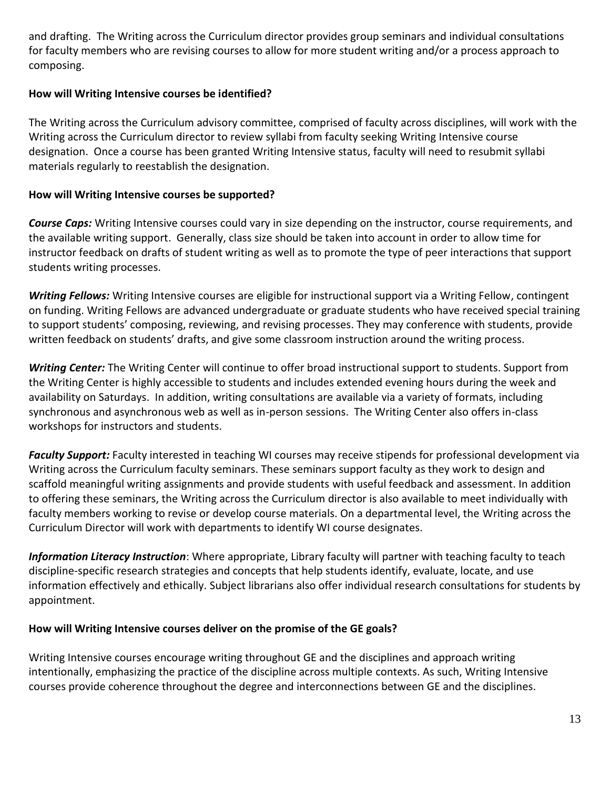and drafting. The Writing across the Curriculum director provides group seminars and individual consultations for faculty members who are revising courses to allow for more student writing and/or a process approach to composing.

#### **How will Writing Intensive courses be identified?**

The Writing across the Curriculum advisory committee, comprised of faculty across disciplines, will work with the Writing across the Curriculum director to review syllabi from faculty seeking Writing Intensive course designation. Once a course has been granted Writing Intensive status, faculty will need to resubmit syllabi materials regularly to reestablish the designation.

#### **How will Writing Intensive courses be supported?**

*Course Caps:* Writing Intensive courses could vary in size depending on the instructor, course requirements, and the available writing support. Generally, class size should be taken into account in order to allow time for instructor feedback on drafts of student writing as well as to promote the type of peer interactions that support students writing processes.

*Writing Fellows:* Writing Intensive courses are eligible for instructional support via a Writing Fellow, contingent on funding. Writing Fellows are advanced undergraduate or graduate students who have received special training to support students' composing, reviewing, and revising processes. They may conference with students, provide written feedback on students' drafts, and give some classroom instruction around the writing process.

*Writing Center:* The Writing Center will continue to offer broad instructional support to students. Support from the Writing Center is highly accessible to students and includes extended evening hours during the week and availability on Saturdays. In addition, writing consultations are available via a variety of formats, including synchronous and asynchronous web as well as in-person sessions. The Writing Center also offers in-class workshops for instructors and students.

*Faculty Support:* Faculty interested in teaching WI courses may receive stipends for professional development via Writing across the Curriculum faculty seminars. These seminars support faculty as they work to design and scaffold meaningful writing assignments and provide students with useful feedback and assessment. In addition to offering these seminars, the Writing across the Curriculum director is also available to meet individually with faculty members working to revise or develop course materials. On a departmental level, the Writing across the Curriculum Director will work with departments to identify WI course designates.

*Information Literacy Instruction*: Where appropriate, Library faculty will partner with teaching faculty to teach discipline-specific research strategies and concepts that help students identify, evaluate, locate, and use information effectively and ethically. Subject librarians also offer individual research consultations for students by appointment.

#### **How will Writing Intensive courses deliver on the promise of the GE goals?**

Writing Intensive courses encourage writing throughout GE and the disciplines and approach writing intentionally, emphasizing the practice of the discipline across multiple contexts. As such, Writing Intensive courses provide coherence throughout the degree and interconnections between GE and the disciplines.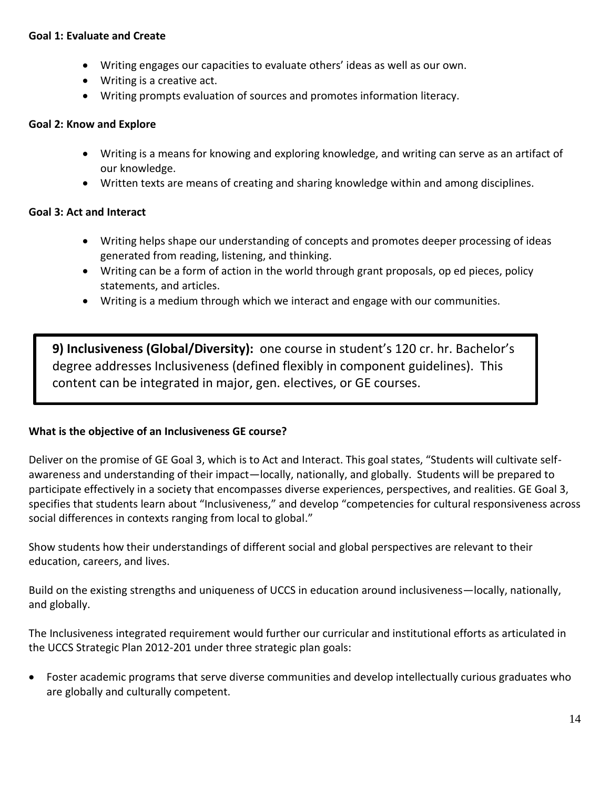#### **Goal 1: Evaluate and Create**

- Writing engages our capacities to evaluate others' ideas as well as our own.
- Writing is a creative act.
- Writing prompts evaluation of sources and promotes information literacy.

#### **Goal 2: Know and Explore**

- Writing is a means for knowing and exploring knowledge, and writing can serve as an artifact of our knowledge.
- Written texts are means of creating and sharing knowledge within and among disciplines.

#### **Goal 3: Act and Interact**

- Writing helps shape our understanding of concepts and promotes deeper processing of ideas generated from reading, listening, and thinking.
- Writing can be a form of action in the world through grant proposals, op ed pieces, policy statements, and articles.
- Writing is a medium through which we interact and engage with our communities.

**9) Inclusiveness (Global/Diversity):** one course in student's 120 cr. hr. Bachelor's degree addresses Inclusiveness (defined flexibly in component guidelines). This content can be integrated in major, gen. electives, or GE courses.

#### **What is the objective of an Inclusiveness GE course?**

Deliver on the promise of GE Goal 3, which is to Act and Interact. This goal states, "Students will cultivate selfawareness and understanding of their impact—locally, nationally, and globally. Students will be prepared to participate effectively in a society that encompasses diverse experiences, perspectives, and realities. GE Goal 3, specifies that students learn about "Inclusiveness," and develop "competencies for cultural responsiveness across social differences in contexts ranging from local to global."

Show students how their understandings of different social and global perspectives are relevant to their education, careers, and lives.

Build on the existing strengths and uniqueness of UCCS in education around inclusiveness—locally, nationally, and globally.

The Inclusiveness integrated requirement would further our curricular and institutional efforts as articulated in the UCCS Strategic Plan 2012-201 under three strategic plan goals:

 Foster academic programs that serve diverse communities and develop intellectually curious graduates who are globally and culturally competent.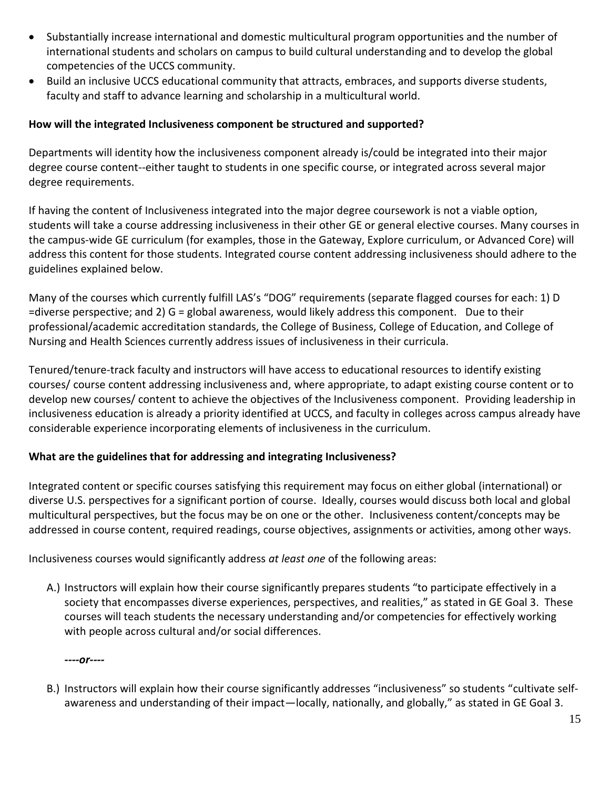- Substantially increase international and domestic multicultural program opportunities and the number of international students and scholars on campus to build cultural understanding and to develop the global competencies of the UCCS community.
- Build an inclusive UCCS educational community that attracts, embraces, and supports diverse students, faculty and staff to advance learning and scholarship in a multicultural world.

#### **How will the integrated Inclusiveness component be structured and supported?**

Departments will identity how the inclusiveness component already is/could be integrated into their major degree course content--either taught to students in one specific course, or integrated across several major degree requirements.

If having the content of Inclusiveness integrated into the major degree coursework is not a viable option, students will take a course addressing inclusiveness in their other GE or general elective courses. Many courses in the campus-wide GE curriculum (for examples, those in the Gateway, Explore curriculum, or Advanced Core) will address this content for those students. Integrated course content addressing inclusiveness should adhere to the guidelines explained below.

Many of the courses which currently fulfill LAS's "DOG" requirements (separate flagged courses for each: 1) D =diverse perspective; and 2) G = global awareness, would likely address this component. Due to their professional/academic accreditation standards, the College of Business, College of Education, and College of Nursing and Health Sciences currently address issues of inclusiveness in their curricula.

Tenured/tenure-track faculty and instructors will have access to educational resources to identify existing courses/ course content addressing inclusiveness and, where appropriate, to adapt existing course content or to develop new courses/ content to achieve the objectives of the Inclusiveness component. Providing leadership in inclusiveness education is already a priority identified at UCCS, and faculty in colleges across campus already have considerable experience incorporating elements of inclusiveness in the curriculum.

#### **What are the guidelines that for addressing and integrating Inclusiveness?**

Integrated content or specific courses satisfying this requirement may focus on either global (international) or diverse U.S. perspectives for a significant portion of course. Ideally, courses would discuss both local and global multicultural perspectives, but the focus may be on one or the other. Inclusiveness content/concepts may be addressed in course content, required readings, course objectives, assignments or activities, among other ways.

Inclusiveness courses would significantly address *at least one* of the following areas:

A.) Instructors will explain how their course significantly prepares students "to participate effectively in a society that encompasses diverse experiences, perspectives, and realities," as stated in GE Goal 3. These courses will teach students the necessary understanding and/or competencies for effectively working with people across cultural and/or social differences.

*----or----*

B.) Instructors will explain how their course significantly addresses "inclusiveness" so students "cultivate selfawareness and understanding of their impact—locally, nationally, and globally," as stated in GE Goal 3.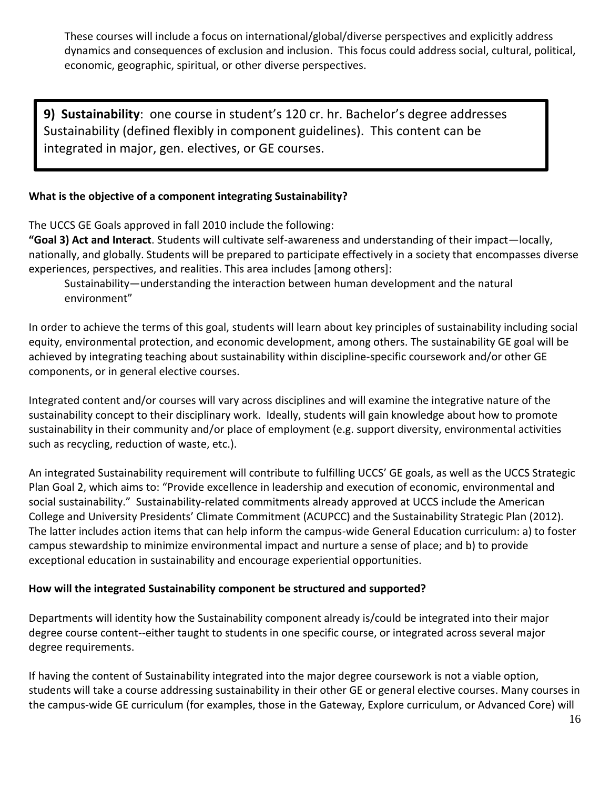These courses will include a focus on international/global/diverse perspectives and explicitly address dynamics and consequences of exclusion and inclusion. This focus could address social, cultural, political, economic, geographic, spiritual, or other diverse perspectives.

**9) Sustainability**: one course in student's 120 cr. hr. Bachelor's degree addresses Sustainability (defined flexibly in component guidelines). This content can be integrated in major, gen. electives, or GE courses.

#### **What is the objective of a component integrating Sustainability?**

The UCCS GE Goals approved in fall 2010 include the following:

**"Goal 3) Act and Interact**. Students will cultivate self-awareness and understanding of their impact—locally, nationally, and globally. Students will be prepared to participate effectively in a society that encompasses diverse experiences, perspectives, and realities. This area includes [among others]:

Sustainability—understanding the interaction between human development and the natural environment"

In order to achieve the terms of this goal, students will learn about key principles of sustainability including social equity, environmental protection, and economic development, among others. The sustainability GE goal will be achieved by integrating teaching about sustainability within discipline-specific coursework and/or other GE components, or in general elective courses.

Integrated content and/or courses will vary across disciplines and will examine the integrative nature of the sustainability concept to their disciplinary work. Ideally, students will gain knowledge about how to promote sustainability in their community and/or place of employment (e.g. support diversity, environmental activities such as recycling, reduction of waste, etc.).

An integrated Sustainability requirement will contribute to fulfilling UCCS' GE goals, as well as the UCCS Strategic Plan Goal 2, which aims to: "Provide excellence in leadership and execution of economic, environmental and social sustainability." Sustainability-related commitments already approved at UCCS include the American College and University Presidents' Climate Commitment (ACUPCC) and the Sustainability Strategic Plan (2012). The latter includes action items that can help inform the campus-wide General Education curriculum: a) to foster campus stewardship to minimize environmental impact and nurture a sense of place; and b) to provide exceptional education in sustainability and encourage experiential opportunities.

#### **How will the integrated Sustainability component be structured and supported?**

Departments will identity how the Sustainability component already is/could be integrated into their major degree course content--either taught to students in one specific course, or integrated across several major degree requirements.

If having the content of Sustainability integrated into the major degree coursework is not a viable option, students will take a course addressing sustainability in their other GE or general elective courses. Many courses in the campus-wide GE curriculum (for examples, those in the Gateway, Explore curriculum, or Advanced Core) will